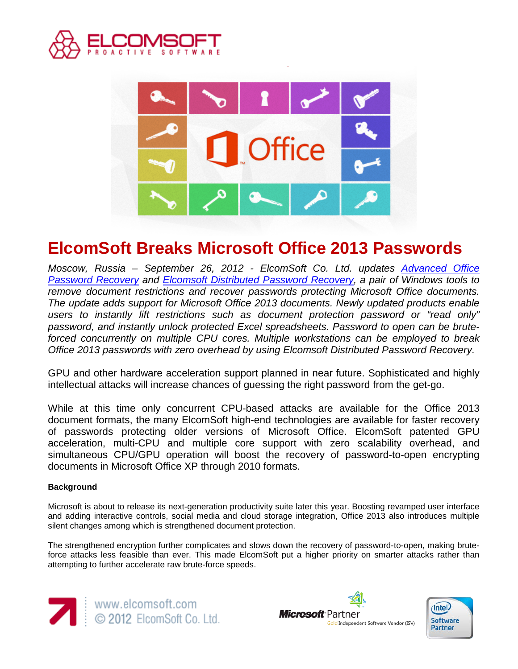



# **ElcomSoft Breaks Microsoft Office 2013 Passwords**

*Moscow, Russia – September 26, 2012 - ElcomSoft Co. Ltd. updates [Advanced Office](http://www.elcomsoft.com/aopr.html)  [Password Recovery](http://www.elcomsoft.com/aopr.html) and [Elcomsoft Distributed Password Recovery,](http://www.elcomsoft.com/edpr.html) a pair of Windows tools to remove document restrictions and recover passwords protecting Microsoft Office documents. The update adds support for Microsoft Office 2013 documents. Newly updated products enable users to instantly lift restrictions such as document protection password or "read only" password, and instantly unlock protected Excel spreadsheets. Password to open can be bruteforced concurrently on multiple CPU cores. Multiple workstations can be employed to break Office 2013 passwords with zero overhead by using Elcomsoft Distributed Password Recovery.*

GPU and other hardware acceleration support planned in near future. Sophisticated and highly intellectual attacks will increase chances of guessing the right password from the get-go.

While at this time only concurrent CPU-based attacks are available for the Office 2013 document formats, the many ElcomSoft high-end technologies are available for faster recovery of passwords protecting older versions of Microsoft Office. ElcomSoft patented GPU acceleration, multi-CPU and multiple core support with zero scalability overhead, and simultaneous CPU/GPU operation will boost the recovery of password-to-open encrypting documents in Microsoft Office XP through 2010 formats.

# **Background**

Microsoft is about to release its next-generation productivity suite later this year. Boosting revamped user interface and adding interactive controls, social media and cloud storage integration, Office 2013 also introduces multiple silent changes among which is strengthened document protection.

The strengthened encryption further complicates and slows down the recovery of password-to-open, making bruteforce attacks less feasible than ever. This made ElcomSoft put a higher priority on smarter attacks rather than attempting to further accelerate raw brute-force speeds.